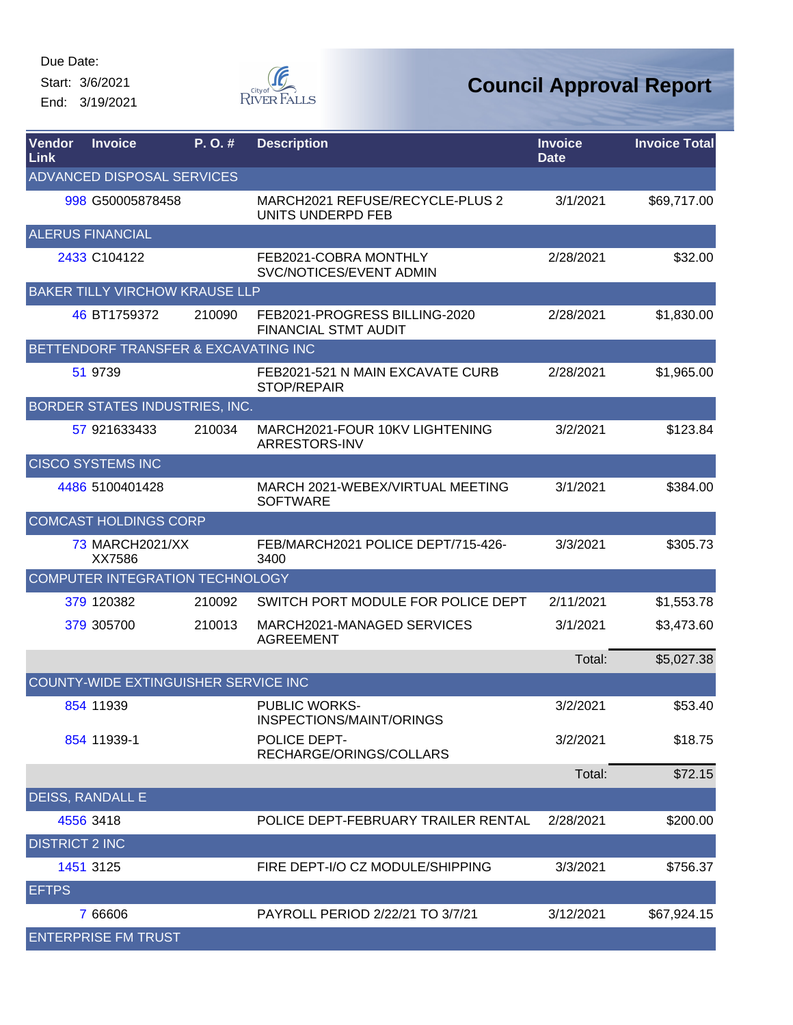Start: 3/6/2021

End: 3/19/2021



| Vendor<br>Link        | <b>Invoice</b>                        | P.O.#  | <b>Description</b>                                           | <b>Invoice</b><br><b>Date</b> | <b>Invoice Total</b> |
|-----------------------|---------------------------------------|--------|--------------------------------------------------------------|-------------------------------|----------------------|
|                       | ADVANCED DISPOSAL SERVICES            |        |                                                              |                               |                      |
|                       | 998 G50005878458                      |        | MARCH2021 REFUSE/RECYCLE-PLUS 2<br>UNITS UNDERPD FEB         | 3/1/2021                      | \$69,717.00          |
|                       | <b>ALERUS FINANCIAL</b>               |        |                                                              |                               |                      |
|                       | 2433 C104122                          |        | FEB2021-COBRA MONTHLY<br>SVC/NOTICES/EVENT ADMIN             | 2/28/2021                     | \$32.00              |
|                       | <b>BAKER TILLY VIRCHOW KRAUSE LLP</b> |        |                                                              |                               |                      |
|                       | 46 BT1759372                          | 210090 | FEB2021-PROGRESS BILLING-2020<br><b>FINANCIAL STMT AUDIT</b> | 2/28/2021                     | \$1,830.00           |
|                       | BETTENDORF TRANSFER & EXCAVATING INC  |        |                                                              |                               |                      |
|                       | 51 9739                               |        | FEB2021-521 N MAIN EXCAVATE CURB<br><b>STOP/REPAIR</b>       | 2/28/2021                     | \$1,965.00           |
|                       | BORDER STATES INDUSTRIES, INC.        |        |                                                              |                               |                      |
|                       | 57 921633433                          | 210034 | MARCH2021-FOUR 10KV LIGHTENING<br>ARRESTORS-INV              | 3/2/2021                      | \$123.84             |
|                       | <b>CISCO SYSTEMS INC</b>              |        |                                                              |                               |                      |
|                       | 4486 5100401428                       |        | MARCH 2021-WEBEX/VIRTUAL MEETING<br><b>SOFTWARE</b>          | 3/1/2021                      | \$384.00             |
|                       | <b>COMCAST HOLDINGS CORP</b>          |        |                                                              |                               |                      |
|                       | 73 MARCH2021/XX<br>XX7586             |        | FEB/MARCH2021 POLICE DEPT/715-426-<br>3400                   | 3/3/2021                      | \$305.73             |
|                       | COMPUTER INTEGRATION TECHNOLOGY       |        |                                                              |                               |                      |
|                       | 379 120382                            | 210092 | SWITCH PORT MODULE FOR POLICE DEPT                           | 2/11/2021                     | \$1,553.78           |
|                       | 379 305700                            | 210013 | MARCH2021-MANAGED SERVICES<br><b>AGREEMENT</b>               | 3/1/2021                      | \$3,473.60           |
|                       |                                       |        |                                                              | Total:                        | \$5,027.38           |
|                       | COUNTY-WIDE EXTINGUISHER SERVICE INC  |        |                                                              |                               |                      |
|                       | 854 11939                             |        | <b>PUBLIC WORKS-</b><br>INSPECTIONS/MAINT/ORINGS             | 3/2/2021                      | \$53.40              |
|                       | 854 11939-1                           |        | POLICE DEPT-<br>RECHARGE/ORINGS/COLLARS                      | 3/2/2021                      | \$18.75              |
|                       |                                       |        |                                                              | Total:                        | \$72.15              |
|                       | <b>DEISS, RANDALL E</b>               |        |                                                              |                               |                      |
|                       | 4556 3418                             |        | POLICE DEPT-FEBRUARY TRAILER RENTAL                          | 2/28/2021                     | \$200.00             |
| <b>DISTRICT 2 INC</b> |                                       |        |                                                              |                               |                      |
|                       | 1451 3125                             |        | FIRE DEPT-I/O CZ MODULE/SHIPPING                             | 3/3/2021                      | \$756.37             |
| <b>EFTPS</b>          |                                       |        |                                                              |                               |                      |
|                       | 7 66606                               |        | PAYROLL PERIOD 2/22/21 TO 3/7/21                             | 3/12/2021                     | \$67,924.15          |
|                       | <b>ENTERPRISE FM TRUST</b>            |        |                                                              |                               |                      |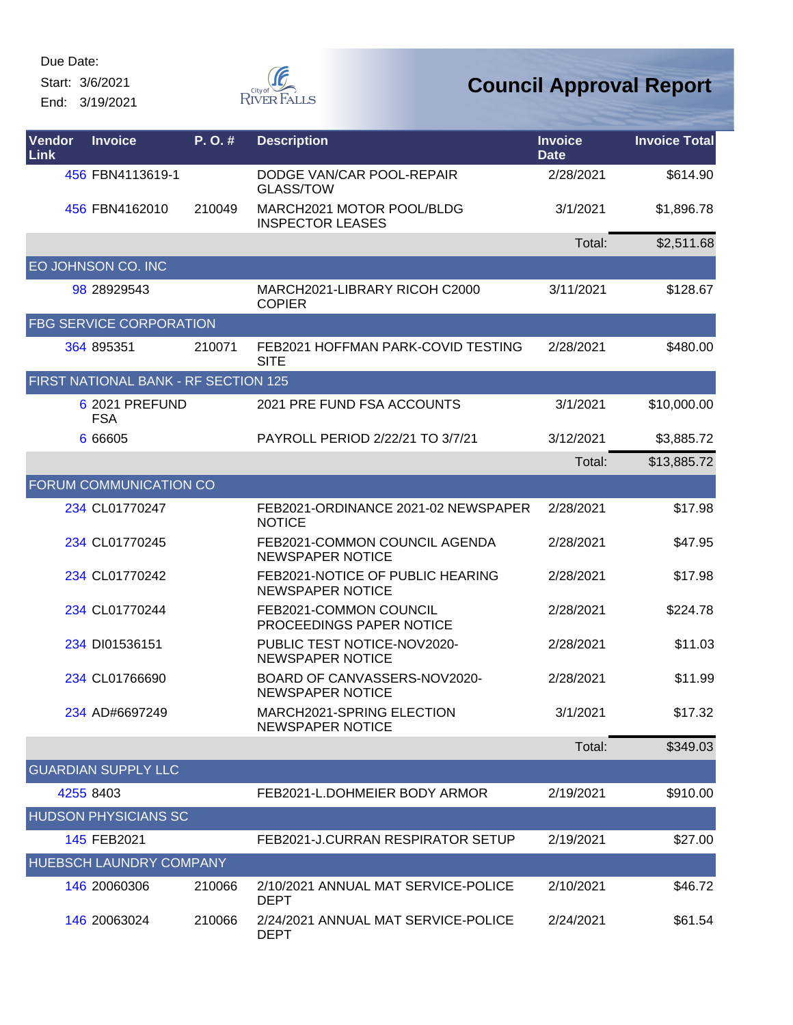Start: 3/6/2021

End: 3/19/2021



| Vendor<br>Link                 | <b>Invoice</b>                       | P.O.#  | <b>Description</b>                                          | <b>Invoice</b><br><b>Date</b> | <b>Invoice Total</b> |  |  |
|--------------------------------|--------------------------------------|--------|-------------------------------------------------------------|-------------------------------|----------------------|--|--|
|                                | 456 FBN4113619-1                     |        | DODGE VAN/CAR POOL-REPAIR<br><b>GLASS/TOW</b>               | 2/28/2021                     | \$614.90             |  |  |
|                                | 456 FBN4162010                       | 210049 | MARCH2021 MOTOR POOL/BLDG<br><b>INSPECTOR LEASES</b>        | 3/1/2021                      | \$1,896.78           |  |  |
|                                |                                      |        |                                                             | Total:                        | \$2,511.68           |  |  |
|                                | EO JOHNSON CO. INC                   |        |                                                             |                               |                      |  |  |
|                                | 98 28929543                          |        | MARCH2021-LIBRARY RICOH C2000<br><b>COPIER</b>              | 3/11/2021                     | \$128.67             |  |  |
|                                | <b>FBG SERVICE CORPORATION</b>       |        |                                                             |                               |                      |  |  |
|                                | 364 895351                           | 210071 | FEB2021 HOFFMAN PARK-COVID TESTING<br><b>SITE</b>           | 2/28/2021                     | \$480.00             |  |  |
|                                | FIRST NATIONAL BANK - RF SECTION 125 |        |                                                             |                               |                      |  |  |
|                                | 6 2021 PREFUND<br><b>FSA</b>         |        | 2021 PRE FUND FSA ACCOUNTS                                  | 3/1/2021                      | \$10,000.00          |  |  |
|                                | 6 6 6 6 0 5                          |        | PAYROLL PERIOD 2/22/21 TO 3/7/21                            | 3/12/2021                     | \$3,885.72           |  |  |
|                                |                                      |        |                                                             | Total:                        | \$13,885.72          |  |  |
|                                | FORUM COMMUNICATION CO               |        |                                                             |                               |                      |  |  |
|                                | 234 CL01770247                       |        | FEB2021-ORDINANCE 2021-02 NEWSPAPER<br><b>NOTICE</b>        | 2/28/2021                     | \$17.98              |  |  |
|                                | 234 CL01770245                       |        | FEB2021-COMMON COUNCIL AGENDA<br><b>NEWSPAPER NOTICE</b>    | 2/28/2021                     | \$47.95              |  |  |
|                                | 234 CL01770242                       |        | FEB2021-NOTICE OF PUBLIC HEARING<br><b>NEWSPAPER NOTICE</b> | 2/28/2021                     | \$17.98              |  |  |
|                                | 234 CL01770244                       |        | FEB2021-COMMON COUNCIL<br>PROCEEDINGS PAPER NOTICE          | 2/28/2021                     | \$224.78             |  |  |
|                                | 234 DI01536151                       |        | PUBLIC TEST NOTICE-NOV2020-<br><b>NEWSPAPER NOTICE</b>      | 2/28/2021                     | \$11.03              |  |  |
|                                | 234 CL01766690                       |        | BOARD OF CANVASSERS-NOV2020-<br><b>NEWSPAPER NOTICE</b>     | 2/28/2021                     | \$11.99              |  |  |
|                                | 234 AD#6697249                       |        | MARCH2021-SPRING ELECTION<br><b>NEWSPAPER NOTICE</b>        | 3/1/2021                      | \$17.32              |  |  |
|                                |                                      |        |                                                             | Total:                        | \$349.03             |  |  |
|                                | <b>GUARDIAN SUPPLY LLC</b>           |        |                                                             |                               |                      |  |  |
|                                | 4255 8403                            |        | FEB2021-L.DOHMEIER BODY ARMOR                               | 2/19/2021                     | \$910.00             |  |  |
|                                | <b>HUDSON PHYSICIANS SC</b>          |        |                                                             |                               |                      |  |  |
|                                | 145 FEB2021                          |        | FEB2021-J.CURRAN RESPIRATOR SETUP                           | 2/19/2021                     | \$27.00              |  |  |
| <b>HUEBSCH LAUNDRY COMPANY</b> |                                      |        |                                                             |                               |                      |  |  |
|                                | 146 20060306                         | 210066 | 2/10/2021 ANNUAL MAT SERVICE-POLICE<br><b>DEPT</b>          | 2/10/2021                     | \$46.72              |  |  |
|                                | 146 20063024                         | 210066 | 2/24/2021 ANNUAL MAT SERVICE-POLICE<br><b>DEPT</b>          | 2/24/2021                     | \$61.54              |  |  |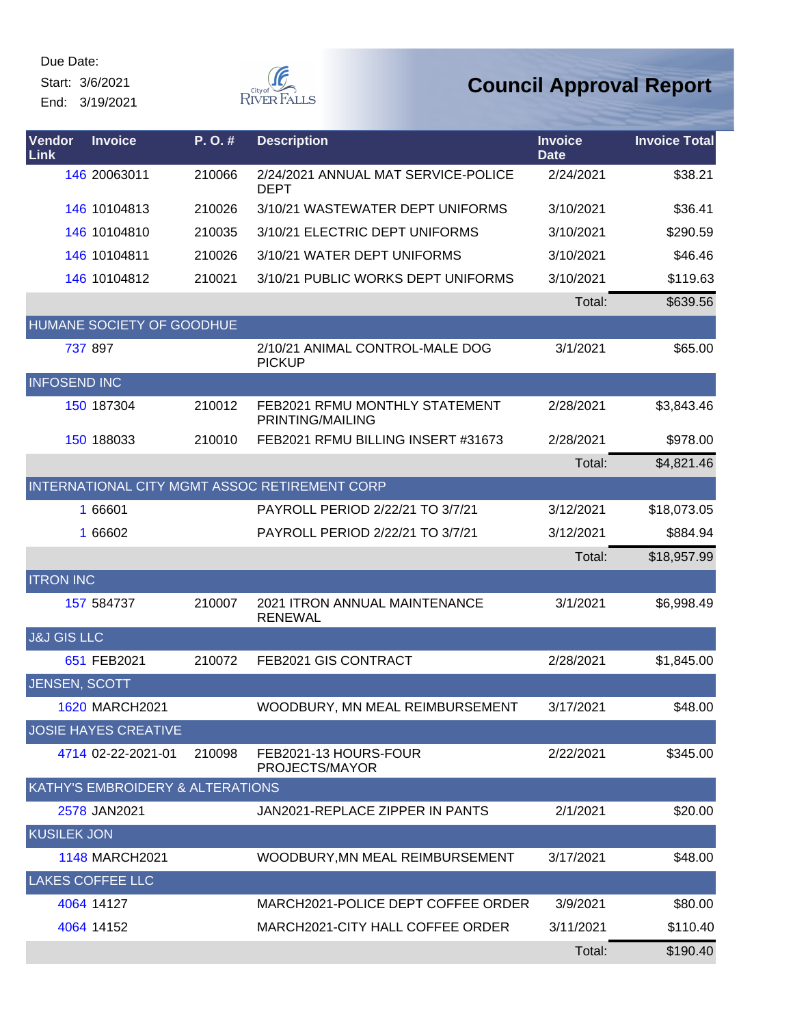Start: 3/6/2021

End: 3/19/2021



| Vendor<br>Link         | <b>Invoice</b>                   | P. O. # | <b>Description</b>                                 | <b>Invoice</b><br><b>Date</b> | <b>Invoice Total</b> |
|------------------------|----------------------------------|---------|----------------------------------------------------|-------------------------------|----------------------|
|                        | 146 20063011                     | 210066  | 2/24/2021 ANNUAL MAT SERVICE-POLICE<br><b>DEPT</b> | 2/24/2021                     | \$38.21              |
|                        | 146 10104813                     | 210026  | 3/10/21 WASTEWATER DEPT UNIFORMS                   | 3/10/2021                     | \$36.41              |
|                        | 146 10104810                     | 210035  | 3/10/21 ELECTRIC DEPT UNIFORMS                     | 3/10/2021                     | \$290.59             |
|                        | 146 10104811                     | 210026  | 3/10/21 WATER DEPT UNIFORMS                        | 3/10/2021                     | \$46.46              |
|                        | 146 10104812                     | 210021  | 3/10/21 PUBLIC WORKS DEPT UNIFORMS                 | 3/10/2021                     | \$119.63             |
|                        |                                  |         |                                                    | Total:                        | \$639.56             |
|                        | HUMANE SOCIETY OF GOODHUE        |         |                                                    |                               |                      |
|                        | 737 897                          |         | 2/10/21 ANIMAL CONTROL-MALE DOG<br><b>PICKUP</b>   | 3/1/2021                      | \$65.00              |
| <b>INFOSEND INC</b>    |                                  |         |                                                    |                               |                      |
|                        | 150 187304                       | 210012  | FEB2021 RFMU MONTHLY STATEMENT<br>PRINTING/MAILING | 2/28/2021                     | \$3,843.46           |
|                        | 150 188033                       | 210010  | FEB2021 RFMU BILLING INSERT #31673                 | 2/28/2021                     | \$978.00             |
|                        |                                  |         |                                                    | Total:                        | \$4,821.46           |
|                        |                                  |         | INTERNATIONAL CITY MGMT ASSOC RETIREMENT CORP      |                               |                      |
|                        | 1 66601                          |         | PAYROLL PERIOD 2/22/21 TO 3/7/21                   | 3/12/2021                     | \$18,073.05          |
|                        | 1 66602                          |         | PAYROLL PERIOD 2/22/21 TO 3/7/21                   | 3/12/2021                     | \$884.94             |
|                        |                                  |         |                                                    | Total:                        | \$18,957.99          |
| <b>ITRON INC</b>       |                                  |         |                                                    |                               |                      |
|                        | 157 584737                       | 210007  | 2021 ITRON ANNUAL MAINTENANCE<br><b>RENEWAL</b>    | 3/1/2021                      | \$6,998.49           |
| <b>J&amp;J GIS LLC</b> |                                  |         |                                                    |                               |                      |
|                        | 651 FEB2021                      | 210072  | FEB2021 GIS CONTRACT                               | 2/28/2021                     | \$1,845.00           |
| <b>JENSEN, SCOTT</b>   |                                  |         |                                                    |                               |                      |
|                        | 1620 MARCH2021                   |         | WOODBURY, MN MEAL REIMBURSEMENT                    | 3/17/2021                     | \$48.00              |
|                        | <b>JOSIE HAYES CREATIVE</b>      |         |                                                    |                               |                      |
|                        | 4714 02-22-2021-01               | 210098  | FEB2021-13 HOURS-FOUR<br>PROJECTS/MAYOR            | 2/22/2021                     | \$345.00             |
|                        | KATHY'S EMBROIDERY & ALTERATIONS |         |                                                    |                               |                      |
|                        | 2578 JAN2021                     |         | JAN2021-REPLACE ZIPPER IN PANTS                    | 2/1/2021                      | \$20.00              |
| <b>KUSILEK JON</b>     |                                  |         |                                                    |                               |                      |
|                        | 1148 MARCH2021                   |         | WOODBURY, MN MEAL REIMBURSEMENT                    | 3/17/2021                     | \$48.00              |
|                        | <b>LAKES COFFEE LLC</b>          |         |                                                    |                               |                      |
|                        | 4064 14127                       |         | MARCH2021-POLICE DEPT COFFEE ORDER                 | 3/9/2021                      | \$80.00              |
|                        | 4064 14152                       |         | MARCH2021-CITY HALL COFFEE ORDER                   | 3/11/2021                     | \$110.40             |
|                        |                                  |         |                                                    | Total:                        | \$190.40             |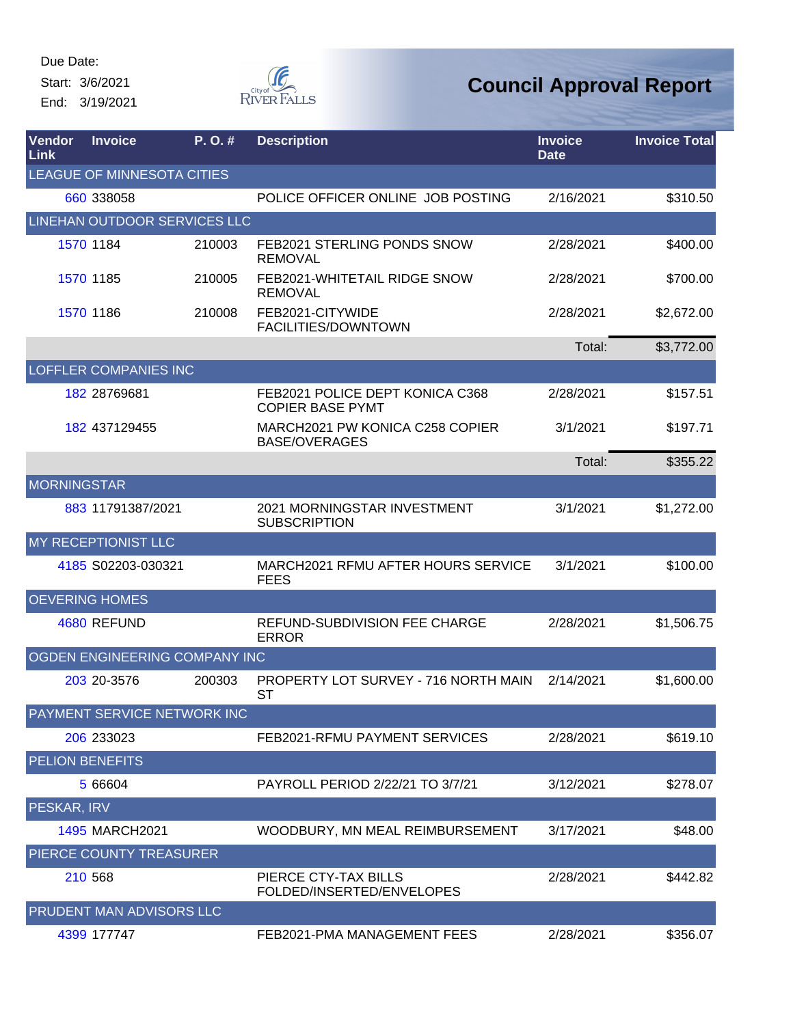Start: 3/6/2021 End: 3/19/2021  $\begin{matrix} \mathcal{G} & \mathcal{G} & \mathcal{G} \\ \mathcal{G} & \mathcal{G} & \mathcal{G} \end{matrix}$  River Falls

| <b>Vendor</b><br>Link      | <b>Invoice</b>                  | P. O. # | <b>Description</b>                                         | <b>Invoice</b><br><b>Date</b> | <b>Invoice Total</b> |  |  |  |
|----------------------------|---------------------------------|---------|------------------------------------------------------------|-------------------------------|----------------------|--|--|--|
| LEAGUE OF MINNESOTA CITIES |                                 |         |                                                            |                               |                      |  |  |  |
|                            | 660 338058                      |         | POLICE OFFICER ONLINE JOB POSTING                          | 2/16/2021                     | \$310.50             |  |  |  |
|                            | LINEHAN OUTDOOR SERVICES LLC    |         |                                                            |                               |                      |  |  |  |
|                            | 1570 1184                       | 210003  | FEB2021 STERLING PONDS SNOW<br><b>REMOVAL</b>              | 2/28/2021                     | \$400.00             |  |  |  |
|                            | 1570 1185                       | 210005  | FEB2021-WHITETAIL RIDGE SNOW<br><b>REMOVAL</b>             | 2/28/2021                     | \$700.00             |  |  |  |
|                            | 1570 1186                       | 210008  | FEB2021-CITYWIDE<br>FACILITIES/DOWNTOWN                    | 2/28/2021                     | \$2,672.00           |  |  |  |
|                            |                                 |         |                                                            | Total:                        | \$3,772.00           |  |  |  |
|                            | <b>LOFFLER COMPANIES INC</b>    |         |                                                            |                               |                      |  |  |  |
|                            | 182 28769681                    |         | FEB2021 POLICE DEPT KONICA C368<br><b>COPIER BASE PYMT</b> | 2/28/2021                     | \$157.51             |  |  |  |
|                            | 182 437129455                   |         | MARCH2021 PW KONICA C258 COPIER<br><b>BASE/OVERAGES</b>    | 3/1/2021                      | \$197.71             |  |  |  |
|                            |                                 |         |                                                            | Total:                        | \$355.22             |  |  |  |
| <b>MORNINGSTAR</b>         |                                 |         |                                                            |                               |                      |  |  |  |
|                            | 883 11791387/2021               |         | 2021 MORNINGSTAR INVESTMENT<br><b>SUBSCRIPTION</b>         | 3/1/2021                      | \$1,272.00           |  |  |  |
|                            | MY RECEPTIONIST LLC             |         |                                                            |                               |                      |  |  |  |
|                            | 4185 S02203-030321              |         | MARCH2021 RFMU AFTER HOURS SERVICE<br><b>FEES</b>          | 3/1/2021                      | \$100.00             |  |  |  |
|                            | <b>OEVERING HOMES</b>           |         |                                                            |                               |                      |  |  |  |
|                            | 4680 REFUND                     |         | REFUND-SUBDIVISION FEE CHARGE<br><b>ERROR</b>              | 2/28/2021                     | \$1,506.75           |  |  |  |
|                            | OGDEN ENGINEERING COMPANY INC   |         |                                                            |                               |                      |  |  |  |
|                            | 203 20-3576                     | 200303  | PROPERTY LOT SURVEY - 716 NORTH MAIN<br><b>ST</b>          | 2/14/2021                     | \$1,600.00           |  |  |  |
|                            | PAYMENT SERVICE NETWORK INC     |         |                                                            |                               |                      |  |  |  |
|                            | 206 233023                      |         | FEB2021-RFMU PAYMENT SERVICES                              | 2/28/2021                     | \$619.10             |  |  |  |
|                            | <b>PELION BENEFITS</b>          |         |                                                            |                               |                      |  |  |  |
|                            | 5 66604                         |         | PAYROLL PERIOD 2/22/21 TO 3/7/21                           | 3/12/2021                     | \$278.07             |  |  |  |
| PESKAR, IRV                |                                 |         |                                                            |                               |                      |  |  |  |
|                            | <b>1495 MARCH2021</b>           |         | WOODBURY, MN MEAL REIMBURSEMENT                            | 3/17/2021                     | \$48.00              |  |  |  |
|                            | PIERCE COUNTY TREASURER         |         |                                                            |                               |                      |  |  |  |
|                            | 210 568                         |         | PIERCE CTY-TAX BILLS<br>FOLDED/INSERTED/ENVELOPES          | 2/28/2021                     | \$442.82             |  |  |  |
|                            | <b>PRUDENT MAN ADVISORS LLC</b> |         |                                                            |                               |                      |  |  |  |
|                            | 4399 177747                     |         | FEB2021-PMA MANAGEMENT FEES                                | 2/28/2021                     | \$356.07             |  |  |  |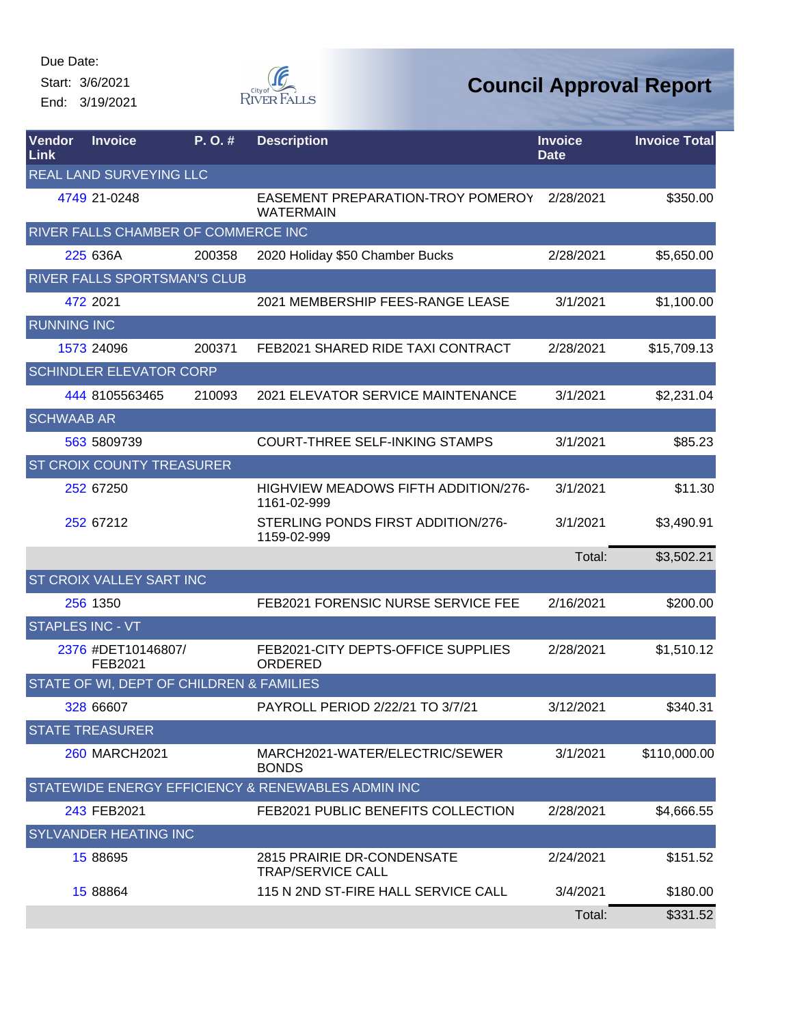Start: 3/6/2021 End: 3/19/2021



| Vendor<br>Link     | <b>Invoice</b>                           | P.O.#  | <b>Description</b>                                         | <b>Invoice</b><br><b>Date</b> | <b>Invoice Total</b> |
|--------------------|------------------------------------------|--------|------------------------------------------------------------|-------------------------------|----------------------|
|                    | REAL LAND SURVEYING LLC                  |        |                                                            |                               |                      |
|                    | 4749 21-0248                             |        | EASEMENT PREPARATION-TROY POMEROY<br><b>WATERMAIN</b>      | 2/28/2021                     | \$350.00             |
|                    | RIVER FALLS CHAMBER OF COMMERCE INC      |        |                                                            |                               |                      |
|                    | 225 636A                                 | 200358 | 2020 Holiday \$50 Chamber Bucks                            | 2/28/2021                     | \$5,650.00           |
|                    | <b>RIVER FALLS SPORTSMAN'S CLUB</b>      |        |                                                            |                               |                      |
|                    | 472 2021                                 |        | 2021 MEMBERSHIP FEES-RANGE LEASE                           | 3/1/2021                      | \$1,100.00           |
| <b>RUNNING INC</b> |                                          |        |                                                            |                               |                      |
|                    | 1573 24096                               | 200371 | FEB2021 SHARED RIDE TAXI CONTRACT                          | 2/28/2021                     | \$15,709.13          |
|                    | <b>SCHINDLER ELEVATOR CORP</b>           |        |                                                            |                               |                      |
|                    | 444 8105563465                           | 210093 | 2021 ELEVATOR SERVICE MAINTENANCE                          | 3/1/2021                      | \$2,231.04           |
| <b>SCHWAAB AR</b>  |                                          |        |                                                            |                               |                      |
|                    | 563 5809739                              |        | <b>COURT-THREE SELF-INKING STAMPS</b>                      | 3/1/2021                      | \$85.23              |
|                    | <b>ST CROIX COUNTY TREASURER</b>         |        |                                                            |                               |                      |
|                    | 252 67250                                |        | <b>HIGHVIEW MEADOWS FIFTH ADDITION/276-</b><br>1161-02-999 | 3/1/2021                      | \$11.30              |
|                    | 252 67212                                |        | STERLING PONDS FIRST ADDITION/276-<br>1159-02-999          | 3/1/2021                      | \$3,490.91           |
|                    |                                          |        |                                                            | Total:                        | \$3,502.21           |
|                    | <b>ST CROIX VALLEY SART INC</b>          |        |                                                            |                               |                      |
|                    | 256 1350                                 |        | FEB2021 FORENSIC NURSE SERVICE FEE                         | 2/16/2021                     | \$200.00             |
|                    | <b>STAPLES INC - VT</b>                  |        |                                                            |                               |                      |
|                    | 2376 #DET10146807/<br>FEB2021            |        | FEB2021-CITY DEPTS-OFFICE SUPPLIES<br>ORDERED              | 2/28/2021                     | \$1,510.12           |
|                    | STATE OF WI, DEPT OF CHILDREN & FAMILIES |        |                                                            |                               |                      |
|                    | 328 66607                                |        | PAYROLL PERIOD 2/22/21 TO 3/7/21                           | 3/12/2021                     | \$340.31             |
|                    | <b>STATE TREASURER</b>                   |        |                                                            |                               |                      |
|                    | <b>260 MARCH2021</b>                     |        | MARCH2021-WATER/ELECTRIC/SEWER<br><b>BONDS</b>             | 3/1/2021                      | \$110,000.00         |
|                    |                                          |        | STATEWIDE ENERGY EFFICIENCY & RENEWABLES ADMIN INC         |                               |                      |
|                    | 243 FEB2021                              |        | FEB2021 PUBLIC BENEFITS COLLECTION                         | 2/28/2021                     | \$4,666.55           |
|                    | <b>SYLVANDER HEATING INC</b>             |        |                                                            |                               |                      |
|                    | 15 88695                                 |        | 2815 PRAIRIE DR-CONDENSATE<br><b>TRAP/SERVICE CALL</b>     | 2/24/2021                     | \$151.52             |
|                    | 15 88864                                 |        | 115 N 2ND ST-FIRE HALL SERVICE CALL                        | 3/4/2021                      | \$180.00             |
|                    |                                          |        |                                                            | Total:                        | \$331.52             |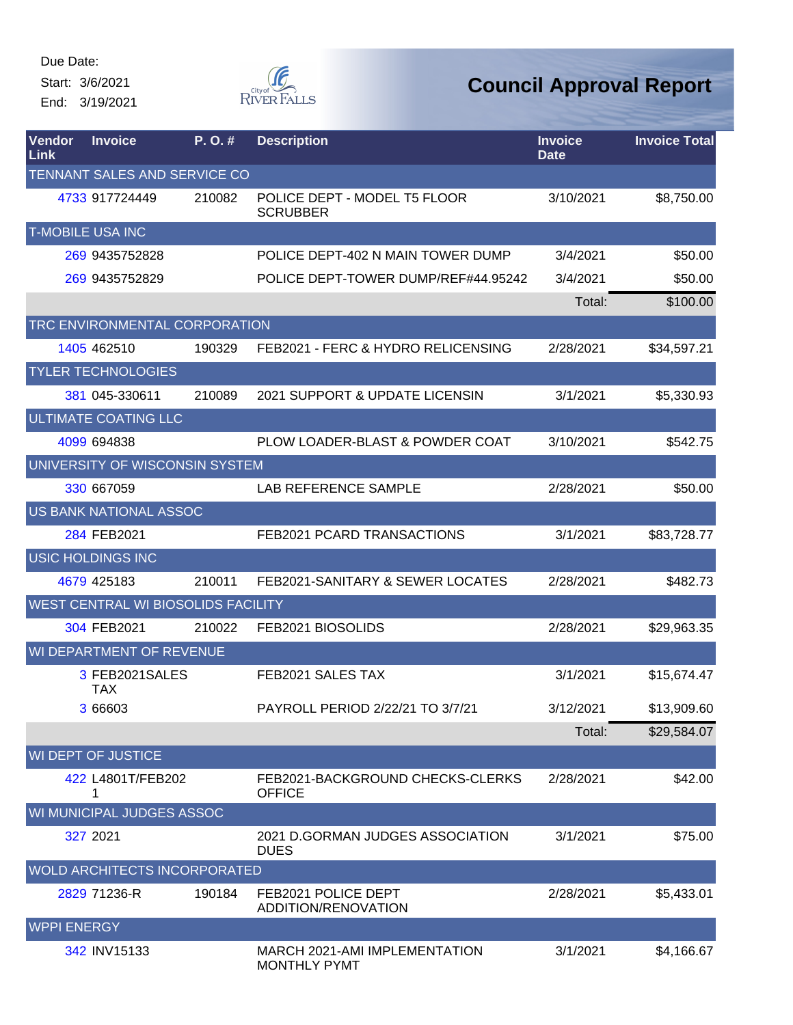Start: 3/6/2021 End: 3/19/2021



| <b>Vendor</b><br>Link | <b>Invoice</b>                      | P.O.#  | <b>Description</b>                                   | <b>Invoice</b><br><b>Date</b> | <b>Invoice Total</b> |
|-----------------------|-------------------------------------|--------|------------------------------------------------------|-------------------------------|----------------------|
|                       | TENNANT SALES AND SERVICE CO        |        |                                                      |                               |                      |
|                       | 4733 917724449                      | 210082 | POLICE DEPT - MODEL T5 FLOOR<br><b>SCRUBBER</b>      | 3/10/2021                     | \$8,750.00           |
|                       | <b>T-MOBILE USA INC</b>             |        |                                                      |                               |                      |
|                       | 269 9435752828                      |        | POLICE DEPT-402 N MAIN TOWER DUMP                    | 3/4/2021                      | \$50.00              |
|                       | 269 9435752829                      |        | POLICE DEPT-TOWER DUMP/REF#44.95242                  | 3/4/2021                      | \$50.00              |
|                       |                                     |        |                                                      | Total:                        | \$100.00             |
|                       | TRC ENVIRONMENTAL CORPORATION       |        |                                                      |                               |                      |
|                       | 1405 462510                         | 190329 | FEB2021 - FERC & HYDRO RELICENSING                   | 2/28/2021                     | \$34,597.21          |
|                       | <b>TYLER TECHNOLOGIES</b>           |        |                                                      |                               |                      |
|                       | 381 045-330611                      | 210089 | <b>2021 SUPPORT &amp; UPDATE LICENSIN</b>            | 3/1/2021                      | \$5,330.93           |
|                       | ULTIMATE COATING LLC                |        |                                                      |                               |                      |
|                       | 4099 694838                         |        | PLOW LOADER-BLAST & POWDER COAT                      | 3/10/2021                     | \$542.75             |
|                       | UNIVERSITY OF WISCONSIN SYSTEM      |        |                                                      |                               |                      |
|                       | 330 667059                          |        | <b>LAB REFERENCE SAMPLE</b>                          | 2/28/2021                     | \$50.00              |
|                       | US BANK NATIONAL ASSOC              |        |                                                      |                               |                      |
|                       | 284 FEB2021                         |        | FEB2021 PCARD TRANSACTIONS                           | 3/1/2021                      | \$83,728.77          |
|                       | USIC HOLDINGS INC                   |        |                                                      |                               |                      |
|                       | 4679 425183                         | 210011 | FEB2021-SANITARY & SEWER LOCATES                     | 2/28/2021                     | \$482.73             |
|                       | WEST CENTRAL WI BIOSOLIDS FACILITY  |        |                                                      |                               |                      |
|                       | 304 FEB2021                         | 210022 | FEB2021 BIOSOLIDS                                    | 2/28/2021                     | \$29,963.35          |
|                       | WI DEPARTMENT OF REVENUE            |        |                                                      |                               |                      |
|                       | 3 FEB2021SALES<br><b>TAX</b>        |        | FEB2021 SALES TAX                                    | 3/1/2021                      | \$15,674.47          |
|                       | 3 66603                             |        | PAYROLL PERIOD 2/22/21 TO 3/7/21                     | 3/12/2021                     | \$13,909.60          |
|                       |                                     |        |                                                      | Total:                        | \$29,584.07          |
|                       | <b>WI DEPT OF JUSTICE</b>           |        |                                                      |                               |                      |
|                       | 422 L4801T/FEB202<br>1              |        | FEB2021-BACKGROUND CHECKS-CLERKS<br><b>OFFICE</b>    | 2/28/2021                     | \$42.00              |
|                       | WI MUNICIPAL JUDGES ASSOC           |        |                                                      |                               |                      |
|                       | 327 2021                            |        | 2021 D.GORMAN JUDGES ASSOCIATION<br><b>DUES</b>      | 3/1/2021                      | \$75.00              |
|                       | <b>WOLD ARCHITECTS INCORPORATED</b> |        |                                                      |                               |                      |
|                       | 2829 71236-R                        | 190184 | FEB2021 POLICE DEPT<br>ADDITION/RENOVATION           | 2/28/2021                     | \$5,433.01           |
| <b>WPPI ENERGY</b>    |                                     |        |                                                      |                               |                      |
|                       | 342 INV15133                        |        | MARCH 2021-AMI IMPLEMENTATION<br><b>MONTHLY PYMT</b> | 3/1/2021                      | \$4,166.67           |